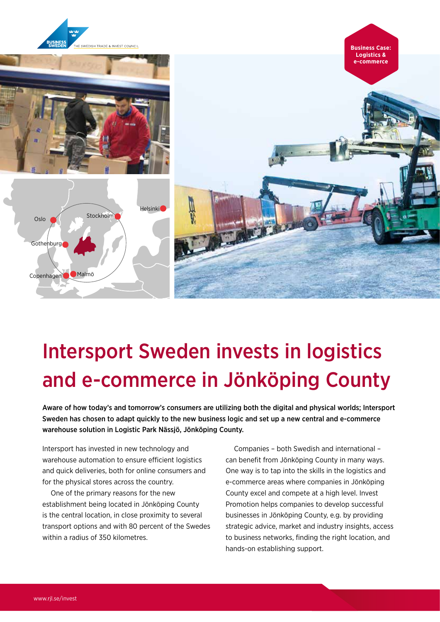

## Intersport Sweden invests in logistics and e-commerce in Jönköping County

Aware of how today's and tomorrow's consumers are utilizing both the digital and physical worlds; Intersport Sweden has chosen to adapt quickly to the new business logic and set up a new central and e-commerce warehouse solution in Logistic Park Nässjö, Jönköping County.

Intersport has invested in new technology and warehouse automation to ensure efficient logistics and quick deliveries, both for online consumers and for the physical stores across the country.

One of the primary reasons for the new establishment being located in Jönköping County is the central location, in close proximity to several transport options and with 80 percent of the Swedes within a radius of 350 kilometres.

Companies – both Swedish and international – can benefit from Jönköping County in many ways. One way is to tap into the skills in the logistics and e-commerce areas where companies in Jönköping County excel and compete at a high level. Invest Promotion helps companies to develop successful businesses in Jönköping County, e.g. by providing strategic advice, market and industry insights, access to business networks, finding the right location, and hands-on establishing support.